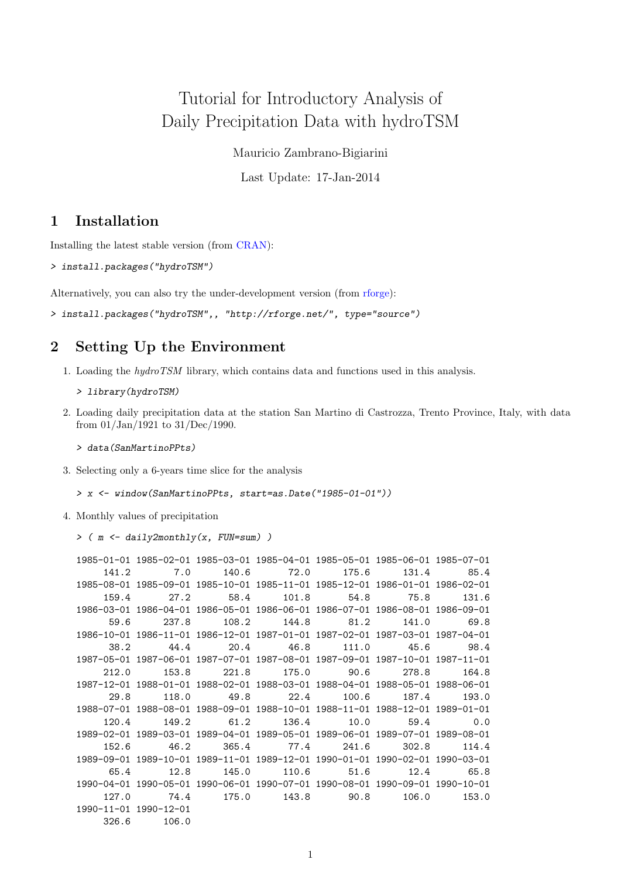# Tutorial for Introductory Analysis of Daily Precipitation Data with hydroTSM

Mauricio Zambrano-Bigiarini

Last Update: 17-Jan-2014

## 1 Installation

Installing the latest stable version (from [CRAN\)](http://cran.r-project.org/web/packages/hydroTSM/):

> install.packages("hydroTSM")

Alternatively, you can also try the under-development version (from [rforge\)](http://www.rforge.net/hydroTSM/):

> install.packages("hydroTSM",, "http://rforge.net/", type="source")

## 2 Setting Up the Environment

- 1. Loading the hydroTSM library, which contains data and functions used in this analysis.
	- > library(hydroTSM)
- 2. Loading daily precipitation data at the station San Martino di Castrozza, Trento Province, Italy, with data from 01/Jan/1921 to 31/Dec/1990.
	- > data(SanMartinoPPts)
- 3. Selecting only a 6-years time slice for the analysis

```
> x <- window(SanMartinoPPts, start=as.Date("1985-01-01"))
```
4. Monthly values of precipitation

```
> ( m \leq daily2monthly(x, FUN=sum) )
```

|                                   | 1985-01-01 1985-02-01 1985-03-01 1985-04-01 1985-05-01 1985-06-01 1985-07-01 |                        |       |            |       |
|-----------------------------------|------------------------------------------------------------------------------|------------------------|-------|------------|-------|
| 141.2                             | 7.0                                                                          | 140.6 72.0             | 175.6 | 131.4      | 85.4  |
|                                   | 1985-08-01 1985-09-01 1985-10-01 1985-11-01 1985-12-01 1986-01-01 1986-02-01 |                        |       |            |       |
| 159.4                             | 27.2                                                                         | 58.4 101.8 54.8        |       | 75.8       | 131.6 |
|                                   | 1986-03-01 1986-04-01 1986-05-01 1986-06-01 1986-07-01 1986-08-01 1986-09-01 |                        |       |            |       |
| 59.6                              | 237.8                                                                        | 108.2 144.8            | 81.2  | 141.0      | 69.8  |
|                                   | 1986-10-01 1986-11-01 1986-12-01 1987-01-01 1987-02-01 1987-03-01 1987-04-01 |                        |       |            |       |
| 38.2                              | 44.4                                                                         | 20.4 46.8              |       | 111.0 45.6 | 98.4  |
|                                   | 1987-05-01 1987-06-01 1987-07-01 1987-08-01 1987-09-01 1987-10-01 1987-11-01 |                        |       |            |       |
| 212.0                             | 153.8                                                                        | 221.8 175.0            | 90.6  | 278.8      | 164.8 |
|                                   | 1987-12-01 1988-01-01 1988-02-01 1988-03-01 1988-04-01 1988-05-01 1988-06-01 |                        |       |            |       |
| 29.8                              | 118.0                                                                        | 49.8 22.4              | 100.6 | 187.4      | 193.0 |
|                                   | 1988-07-01 1988-08-01 1988-09-01 1988-10-01 1988-11-01 1988-12-01 1989-01-01 |                        |       |            |       |
| 120.4                             | 149.2                                                                        | 61.2 136.4             | 10.0  | 59.4       | 0.0   |
|                                   | 1989-02-01 1989-03-01 1989-04-01 1989-05-01 1989-06-01 1989-07-01 1989-08-01 |                        |       |            |       |
| 152.6                             | 46.2                                                                         | 365.4 77.4             | 241.6 | 302.8      | 114.4 |
|                                   | 1989-09-01 1989-10-01 1989-11-01 1989-12-01 1990-01-01 1990-02-01 1990-03-01 |                        |       |            |       |
| 65.4                              | 12.8                                                                         | 145.0 110.6 51.6       |       | 12.4       | 65.8  |
|                                   | 1990-04-01 1990-05-01 1990-06-01 1990-07-01 1990-08-01 1990-09-01 1990-10-01 |                        |       |            |       |
| 127.0                             | 74.4                                                                         | 175.0 143.8 90.8 106.0 |       |            | 153.0 |
| $1990 - 11 - 01$ $1990 - 12 - 01$ |                                                                              |                        |       |            |       |
| 326.6                             | 106.0                                                                        |                        |       |            |       |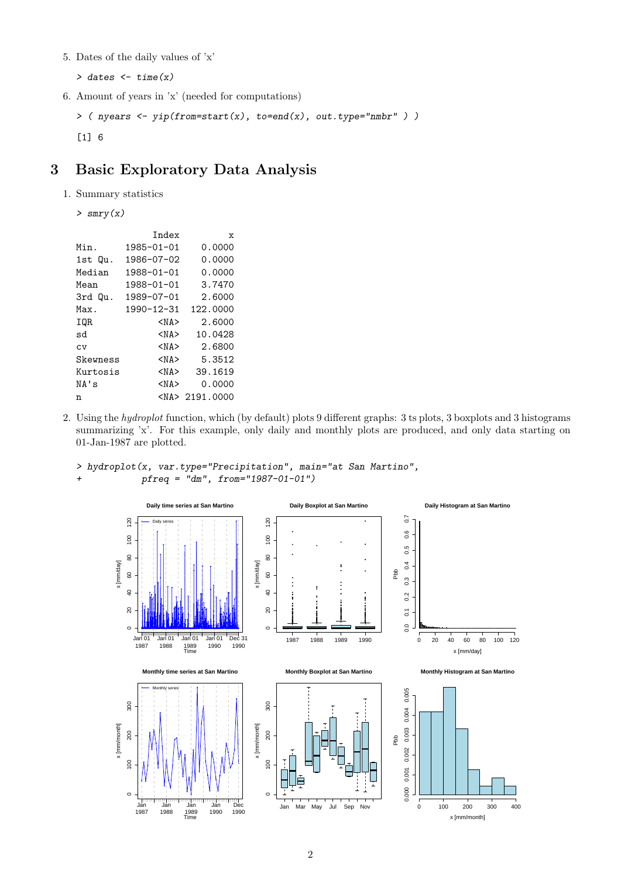5. Dates of the daily values of 'x'

 $>$  dates  $<-$  time $(x)$ 

6. Amount of years in 'x' (needed for computations)

```
> ( nyears <- yip(from=start(x), to=end(x), out.type="nmbr" ) )
[1] 6
```
# 3 Basic Exploratory Data Analysis

1. Summary statistics

```
> smry(x)
```

|          | Index      | $\mathbf{x}$      |
|----------|------------|-------------------|
| Min.     | 1985-01-01 | 0.0000            |
| 1st Qu.  | 1986-07-02 | 0.0000            |
| Median   | 1988-01-01 | 0.0000            |
| Mean     | 1988-01-01 | 3.7470            |
| 3rd Qu.  | 1989-07-01 | 2.6000            |
| Max.     | 1990-12-31 | 122.0000          |
| IQR      | <na></na>  | 2.6000            |
| sd       | <na></na>  | 10.0428           |
| CV       | $<$ NA $>$ | 2.6800            |
| Skewness | $<$ NA $>$ | 5.3512            |
| Kurtosis | <na></na>  | 39.1619           |
| NA's     | $<$ NA $>$ | 0.0000            |
| n        |            | $<$ NA> 2191.0000 |
|          |            |                   |

2. Using the hydroplot function, which (by default) plots 9 different graphs: 3 ts plots, 3 boxplots and 3 histograms summarizing 'x'. For this example, only daily and monthly plots are produced, and only data starting on 01-Jan-1987 are plotted.



> hydroplot(x, var.type="Precipitation", main="at San Martino",  $pfreq = "dm", from="1987-01-01")$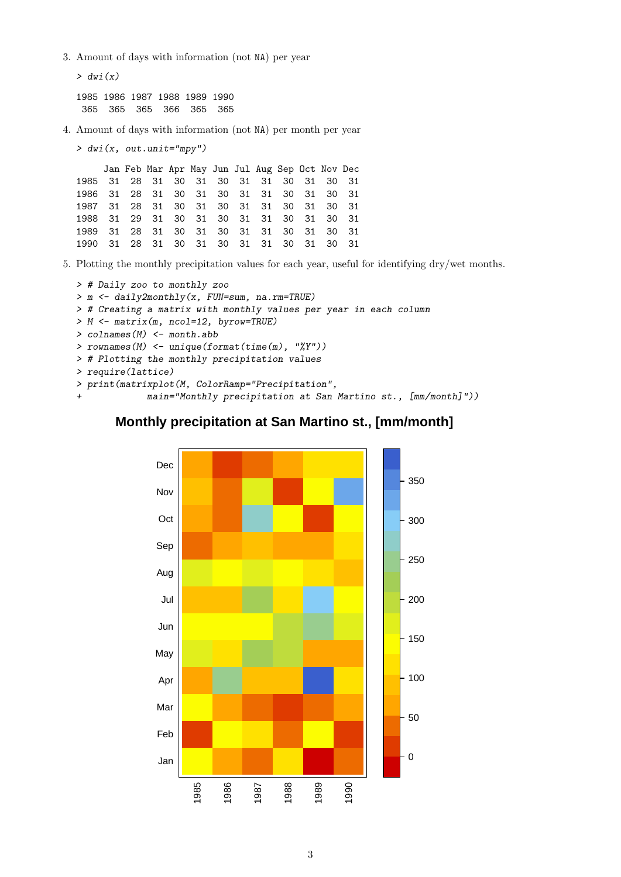3. Amount of days with information (not NA) per year

```
> dwi(x)1985 1986 1987 1988 1989 1990
365 365 365 366 365 365
```
4. Amount of days with information (not NA) per month per year

> dwi(x, out.unit="mpy")

Jan Feb Mar Apr May Jun Jul Aug Sep Oct Nov Dec 1985 31 28 31 30 31 30 31 31 30 31 30 31 1986 31 28 31 30 31 30 31 31 30 31 30 31 1987 31 28 31 30 31 30 31 31 30 31 30 31 1988 31 29 31 30 31 30 31 31 30 31 30 31 1989 31 28 31 30 31 30 31 31 30 31 30 31 1990 31 28 31 30 31 30 31 31 30 31 30 31

5. Plotting the monthly precipitation values for each year, useful for identifying dry/wet months.

```
> # Daily zoo to monthly zoo
> m <- daily2monthly(x, FUN=sum, na.rm=TRUE)
> # Creating a matrix with monthly values per year in each column
> M <- matrix(m, ncol=12, byrow=TRUE)
> colnames(M) <- month.abb
> rownames(M) <- unique(format(time(m), "%Y"))
> # Plotting the monthly precipitation values
> require(lattice)
> print(matrixplot(M, ColorRamp="Precipitation",
             main="Monthly precipitation at San Martino st., [mm/month]"))
```
#### **Monthly precipitation at San Martino st., [mm/month]**

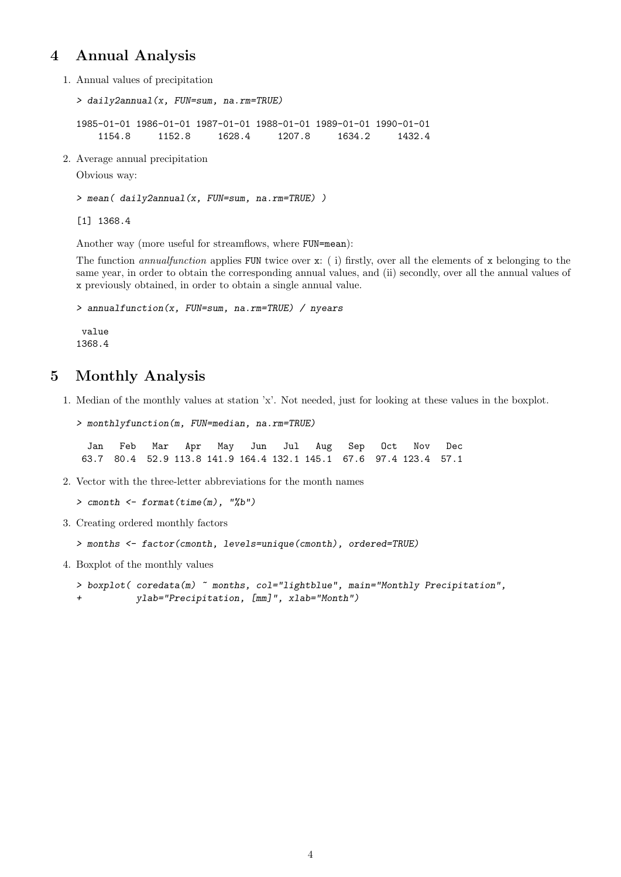#### 4 Annual Analysis

1. Annual values of precipitation

```
> daily2annual(x, FUN=sum, na.rm=TRUE)
1985-01-01 1986-01-01 1987-01-01 1988-01-01 1989-01-01 1990-01-01
   1154.8 1152.8 1628.4 1207.8 1634.2 1432.4
```
2. Average annual precipitation

Obvious way:

> mean( daily2annual(x, FUN=sum, na.rm=TRUE) )

[1] 1368.4

Another way (more useful for streamflows, where FUN=mean):

The function annual function applies FUN twice over  $x:$  (i) firstly, over all the elements of x belonging to the same year, in order to obtain the corresponding annual values, and (ii) secondly, over all the annual values of x previously obtained, in order to obtain a single annual value.

```
> annualfunction(x, FUN=sum, na.rm=TRUE) / nyears
value
1368.4
```
## 5 Monthly Analysis

1. Median of the monthly values at station 'x'. Not needed, just for looking at these values in the boxplot.

```
> monthlyfunction(m, FUN=median, na.rm=TRUE)
```
Jan Feb Mar Apr May Jun Jul Aug Sep Oct Nov Dec 63.7 80.4 52.9 113.8 141.9 164.4 132.1 145.1 67.6 97.4 123.4 57.1

2. Vector with the three-letter abbreviations for the month names

```
> cmonth \leq format(time(m), "%b")
```
3. Creating ordered monthly factors

```
> months <- factor(cmonth, levels=unique(cmonth), ordered=TRUE)
```
4. Boxplot of the monthly values

```
> boxplot( coredata(m) ~ months, col="lightblue", main="Monthly Precipitation",
+ ylab="Precipitation, [mm]", xlab="Month")
```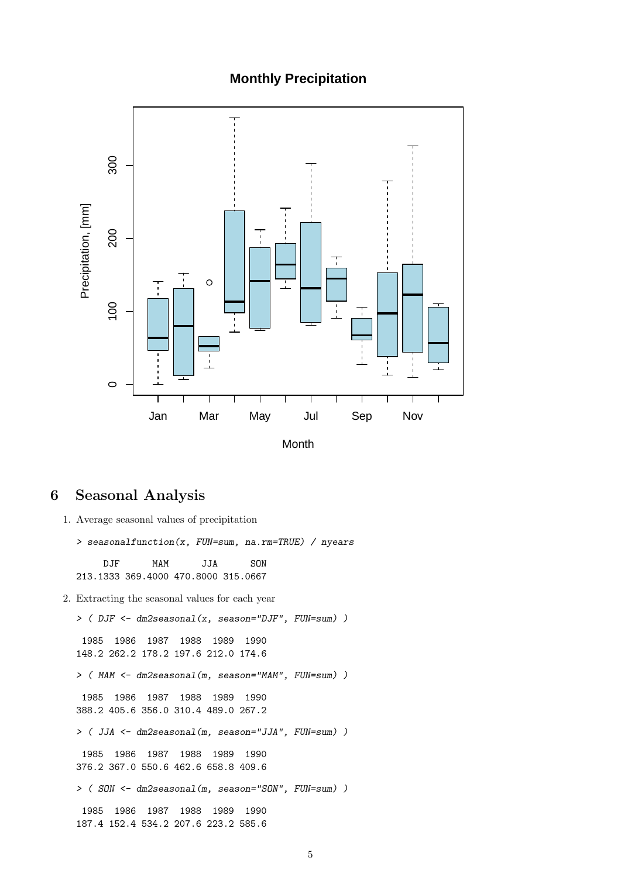#### **Monthly Precipitation**



### 6 Seasonal Analysis

1. Average seasonal values of precipitation

> seasonalfunction(x, FUN=sum, na.rm=TRUE) / nyears

DJF MAM JJA SON 213.1333 369.4000 470.8000 315.0667

2. Extracting the seasonal values for each year

> ( DJF <- dm2seasonal(x, season="DJF", FUN=sum) ) 1985 1986 1987 1988 1989 1990 148.2 262.2 178.2 197.6 212.0 174.6 > ( MAM <- dm2seasonal(m, season="MAM", FUN=sum) ) 1985 1986 1987 1988 1989 1990 388.2 405.6 356.0 310.4 489.0 267.2 > ( JJA <- dm2seasonal(m, season="JJA", FUN=sum) ) 1985 1986 1987 1988 1989 1990 376.2 367.0 550.6 462.6 658.8 409.6 > ( SON <- dm2seasonal(m, season="SON", FUN=sum) ) 1985 1986 1987 1988 1989 1990 187.4 152.4 534.2 207.6 223.2 585.6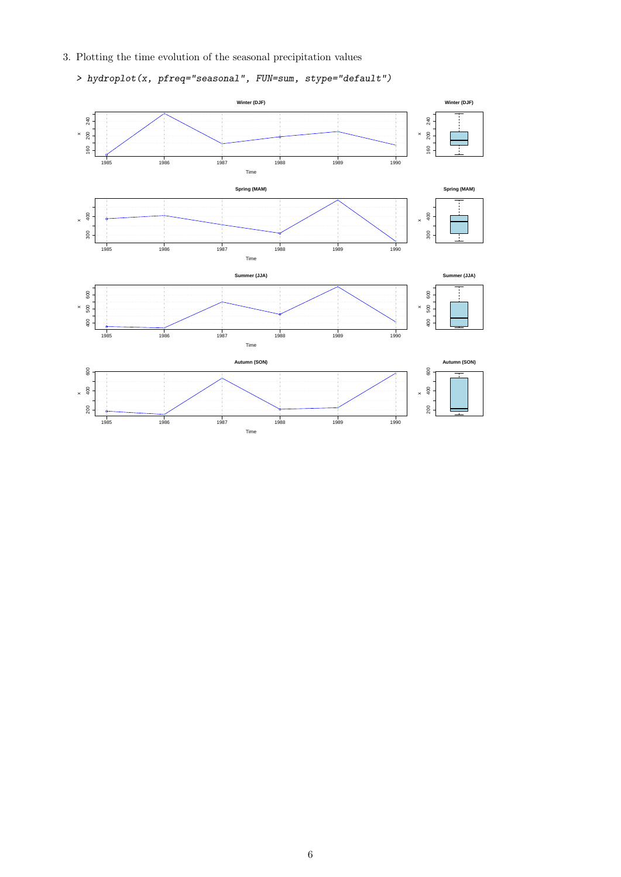3. Plotting the time evolution of the seasonal precipitation values

> hydroplot(x, pfreq="seasonal", FUN=sum, stype="default")

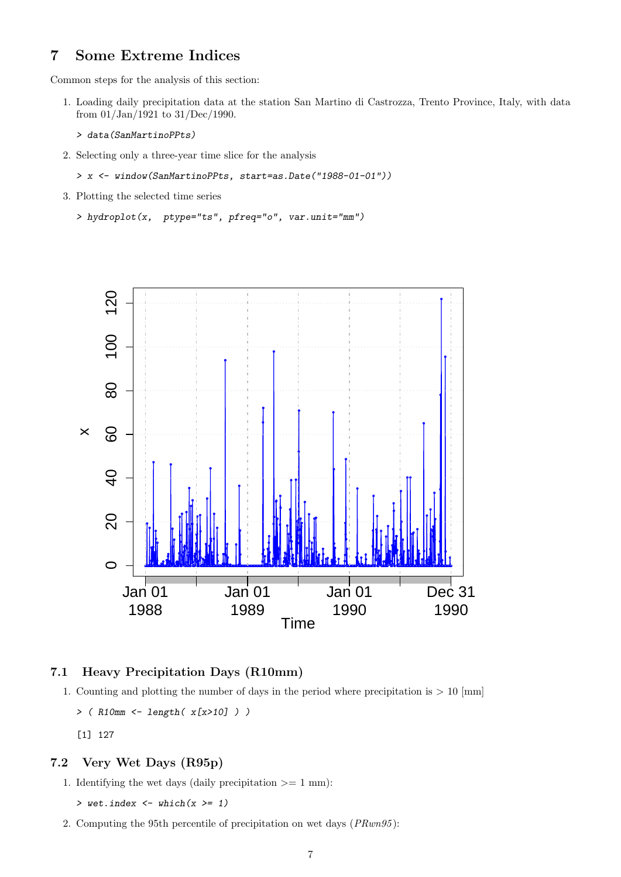#### 7 Some Extreme Indices

Common steps for the analysis of this section:

- 1. Loading daily precipitation data at the station San Martino di Castrozza, Trento Province, Italy, with data from 01/Jan/1921 to 31/Dec/1990.
	- > data(SanMartinoPPts)
- 2. Selecting only a three-year time slice for the analysis
	- > x <- window(SanMartinoPPts, start=as.Date("1988-01-01"))
- 3. Plotting the selected time series
	- > hydroplot(x, ptype="ts", pfreq="o", var.unit="mm")



#### 7.1 Heavy Precipitation Days (R10mm)

- 1. Counting and plotting the number of days in the period where precipitation is  $> 10$  [mm]
	- $>$  (R10mm  $\le$  length(x[x>10]))
	- [1] 127

#### 7.2 Very Wet Days (R95p)

1. Identifying the wet days (daily precipitation  $\geq 1$  mm):

 $>$  wet.index  $<-$  which(x  $>= 1$ )

2. Computing the 95th percentile of precipitation on wet days (PRwn95 ):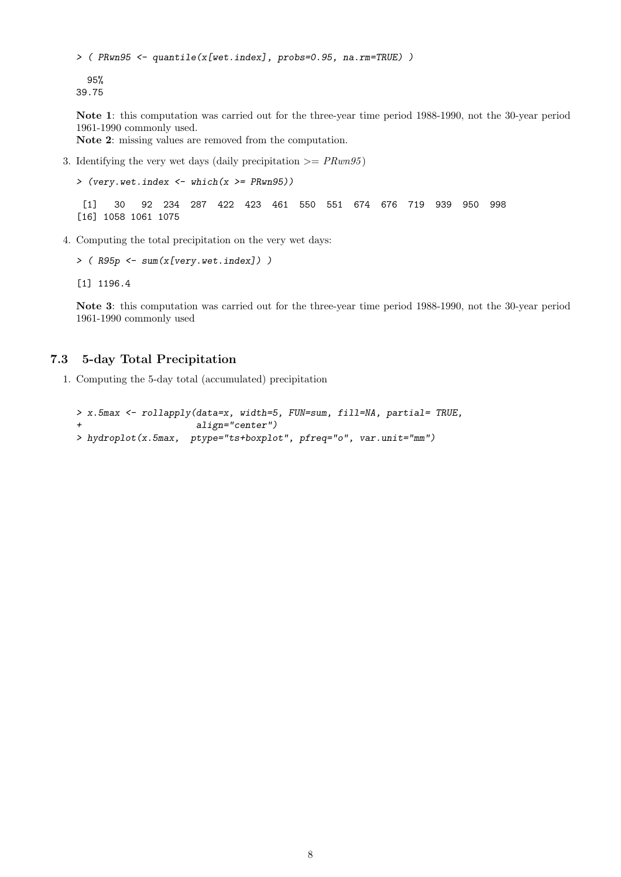```
> ( PRwn95 <- quantile(x[wet.index], probs=0.95, na.rm=TRUE) )
```

```
95%
39.75
```
Note 1: this computation was carried out for the three-year time period 1988-1990, not the 30-year period 1961-1990 commonly used.

Note 2: missing values are removed from the computation.

3. Identifying the very wet days (daily precipitation  $\geq PRun95$ )

 $>$  (very.wet.index  $<-$  which(x  $>=$  PRwn95))

[1] 30 92 234 287 422 423 461 550 551 674 676 719 939 950 998 [16] 1058 1061 1075

4. Computing the total precipitation on the very wet days:

```
> (R95p \leq sum(x[very.wet.index]))
```
[1] 1196.4

Note 3: this computation was carried out for the three-year time period 1988-1990, not the 30-year period 1961-1990 commonly used

#### 7.3 5-day Total Precipitation

1. Computing the 5-day total (accumulated) precipitation

```
> x.5max <- rollapply(data=x, width=5, FUN=sum, fill=NA, partial= TRUE,
                      align="center")
> hydroplot(x.5max, ptype="ts+boxplot", pfreq="o", var.unit="mm")
```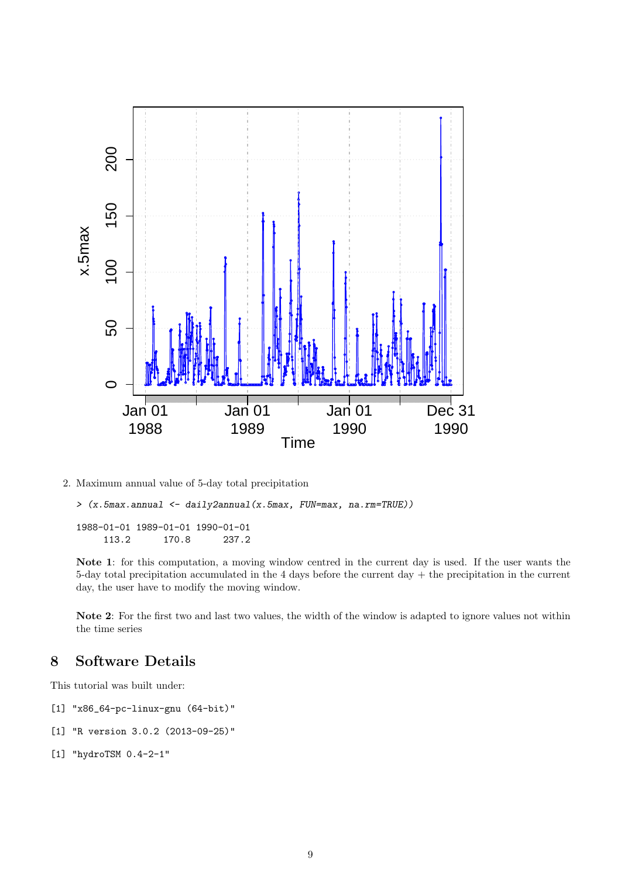

2. Maximum annual value of 5-day total precipitation

> (x.5max.annual <- daily2annual(x.5max, FUN=max, na.rm=TRUE))

1988-01-01 1989-01-01 1990-01-01 113.2 170.8 237.2

Note 1: for this computation, a moving window centred in the current day is used. If the user wants the 5-day total precipitation accumulated in the 4 days before the current day + the precipitation in the current day, the user have to modify the moving window.

Note 2: For the first two and last two values, the width of the window is adapted to ignore values not within the time series

## 8 Software Details

This tutorial was built under:

- [1] "x86\_64-pc-linux-gnu (64-bit)"
- [1] "R version 3.0.2 (2013-09-25)"
- [1] "hydroTSM 0.4-2-1"